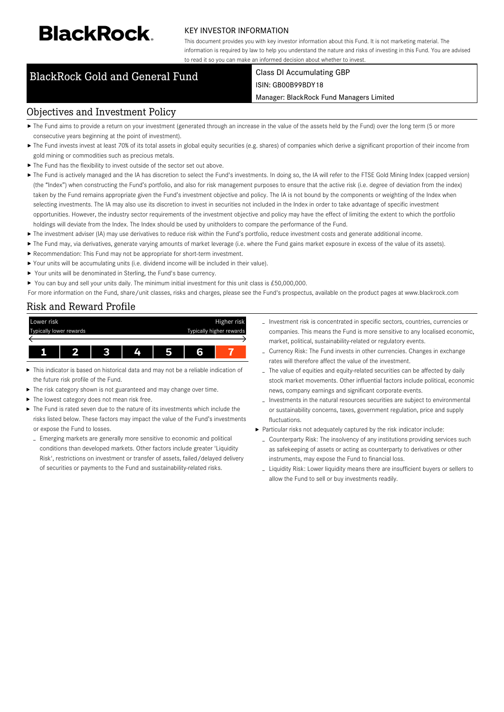# **BlackRock**

### KEY INVESTOR INFORMATION

This document provides you with key investor information about this Fund. It is not marketing material. The information is required by law to help you understand the nature and risks of investing in this Fund. You are advised to read it so you can make an informed decision about whether to invest.

## BlackRock Gold and General Fund Class DI Accumulating GBP

## ISIN: GB00B99BDY18

#### Manager: BlackRock Fund Managers Limited

### Objectives and Investment Policy

- ▶ The Fund aims to provide a return on your investment (generated through an increase in the value of the assets held by the Fund) over the long term (5 or more consecutive years beginning at the point of investment).
- ▶ The Fund invests invest at least 70% of its total assets in global equity securities (e.g. shares) of companies which derive a significant proportion of their income from gold mining or commodities such as precious metals.
- $\blacktriangleright$  The Fund has the flexibility to invest outside of the sector set out above.
- ▶ The Fund is actively managed and the IA has discretion to select the Fund's investments. In doing so, the IA will refer to the FTSE Gold Mining Index (capped version) (the "Index") when constructing the Fund's portfolio, and also for risk management purposes to ensure that the active risk (i.e. degree of deviation from the index) taken by the Fund remains appropriate given the Fund's investment objective and policy. The IA is not bound by the components or weighting of the Index when selecting investments. The IA may also use its discretion to invest in securities not included in the Index in order to take advantage of specific investment opportunities. However, the industry sector requirements of the investment objective and policy may have the effect of limiting the extent to which the portfolio holdings will deviate from the Index. The Index should be used by unitholders to compare the performance of the Fund.
- ▶ The investment adviser (IA) may use derivatives to reduce risk within the Fund's portfolio, reduce investment costs and generate additional income.
- ▶ The Fund may, via derivatives, generate varying amounts of market leverage (i.e. where the Fund gains market exposure in excess of the value of its assets).
- Recommendation: This Fund may not be appropriate for short-term investment.
- Your units will be accumulating units (i.e. dividend income will be included in their value).
- ▶ Your units will be denominated in Sterling, the Fund's base currency.
- ▶ You can buy and sell your units daily. The minimum initial investment for this unit class is £50,000,000.

For more information on the Fund, share/unit classes, risks and charges, please see the Fund's prospectus, available on the product pages at www.blackrock.com

## Risk and Reward Profile



- This indicator is based on historical data and may not be a reliable indication of the future risk profile of the Fund.
- The risk category shown is not guaranteed and may change over time. ь
- The lowest category does not mean risk free.
- The Fund is rated seven due to the nature of its investments which include the risks listed below. These factors may impact the value of the Fund's investments or expose the Fund to losses.
- Emerging markets are generally more sensitive to economic and political conditions than developed markets. Other factors include greater 'Liquidity Risk', restrictions on investment or transfer of assets, failed/delayed delivery of securities or payments to the Fund and sustainability-related risks.
- Investment risk is concentrated in specific sectors, countries, currencies or companies. This means the Fund is more sensitive to any localised economic, market, political, sustainability-related or regulatory events.
- Currency Risk: The Fund invests in other currencies. Changes in exchange rates will therefore affect the value of the investment.
- The value of equities and equity-related securities can be affected by daily stock market movements. Other influential factors include political, economic news, company earnings and significant corporate events.
- Investments in the natural resources securities are subject to environmental or sustainability concerns, taxes, government regulation, price and supply fluctuations.
- Particular risks not adequately captured by the risk indicator include:
- Counterparty Risk: The insolvency of any institutions providing services such as safekeeping of assets or acting as counterparty to derivatives or other instruments, may expose the Fund to financial loss.
- Liquidity Risk: Lower liquidity means there are insufficient buyers or sellers to allow the Fund to sell or buy investments readily.